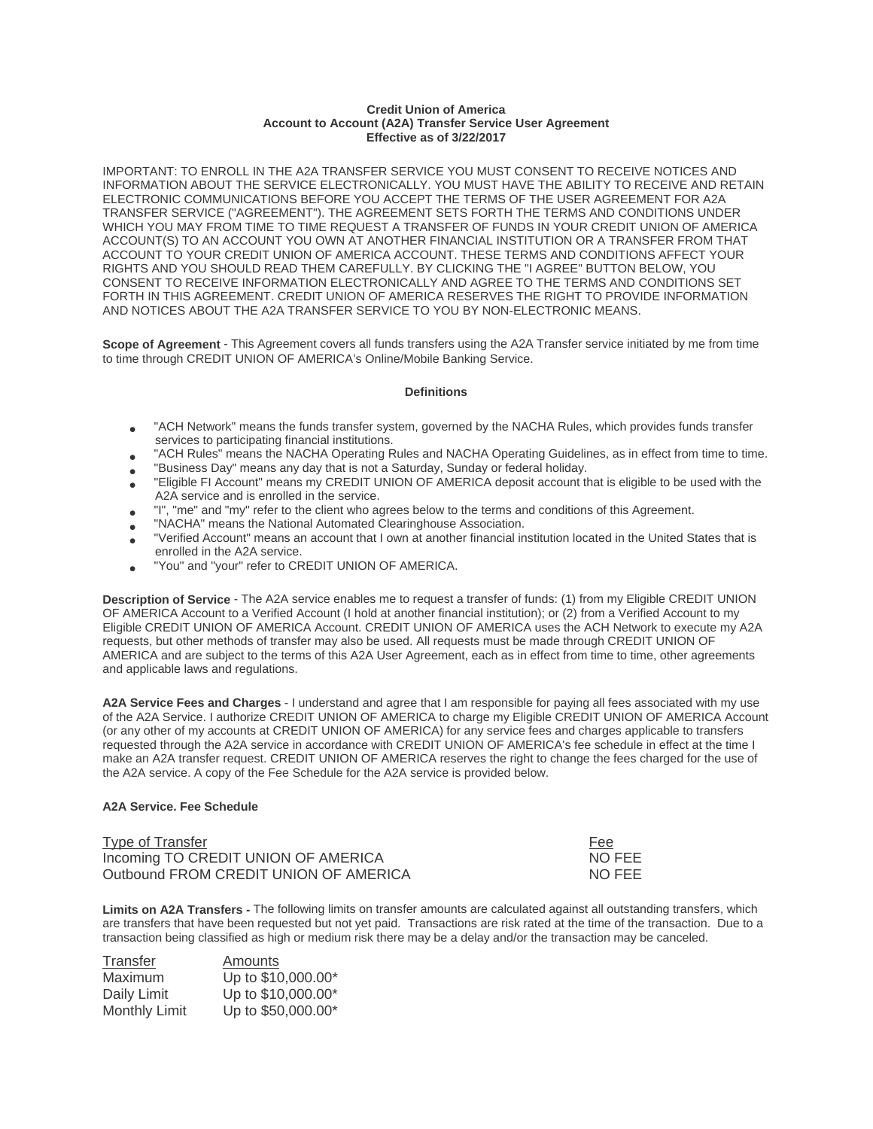## **Credit Union of America Account to Account (A2A) Transfer Service User Agreement Effective as of 3/22/2017**

 INFORMATION ABOUT THE SERVICE ELECTRONICALLY. YOU MUST HAVE THE ABILITY TO RECEIVE AND RETAIN RIGHTS AND YOU SHOULD READ THEM CAREFULLY. BY CLICKING THE "I AGREE" BUTTON BELOW, YOU CONSENT TO RECEIVE INFORMATION ELECTRONICALLY AND AGREE TO THE TERMS AND CONDITIONS SET FORTH IN THIS AGREEMENT. CREDIT UNION OF AMERICA RESERVES THE RIGHT TO PROVIDE INFORMATION AND NOTICES ABOUT THE A2A TRANSFER SERVICE TO YOU BY NON-ELECTRONIC MEANS. IMPORTANT: TO ENROLL IN THE A2A TRANSFER SERVICE YOU MUST CONSENT TO RECEIVE NOTICES AND ELECTRONIC COMMUNICATIONS BEFORE YOU ACCEPT THE TERMS OF THE USER AGREEMENT FOR A2A TRANSFER SERVICE ("AGREEMENT"). THE AGREEMENT SETS FORTH THE TERMS AND CONDITIONS UNDER WHICH YOU MAY FROM TIME TO TIME REQUEST A TRANSFER OF FUNDS IN YOUR CREDIT UNION OF AMERICA ACCOUNT(S) TO AN ACCOUNT YOU OWN AT ANOTHER FINANCIAL INSTITUTION OR A TRANSFER FROM THAT ACCOUNT TO YOUR CREDIT UNION OF AMERICA ACCOUNT. THESE TERMS AND CONDITIONS AFFECT YOUR

**Scope of Agreement** - This Agreement covers all funds transfers using the A2A Transfer service initiated by me from time to time through CREDIT UNION OF AMERICA's Online/Mobile Banking Service.

## **Definitions**

- "ACH Network" means the funds transfer system, governed by the NACHA Rules, which provides funds transfer services to participating financial institutions.<br>"ACH Rules" means the NACHA Operating Rules and NACHA Operating Gu
- 
- 
- TACH Rules" means the NACHA Operating Rules and NACHA Operating Guidelines, as in effect from time to time<br>"Business Day" means any day that is not a Saturday, Sunday or federal holiday.<br>"Eligible FI Account" means my CR
- 
- 
- "I", "me" and "my" refer to the client who agrees below to the terms and conditions of this Agreement.<br>• "NACHA" means the National Automated Clearinghouse Association.<br>• "Verified Account" means an account that I own at
- "You" and "your" refer to CREDIT UNION OF AMERICA.

**Description of Service** - The A2A service enables me to request a transfer of funds: (1) from my Eligible CREDIT UNION OF AMERICA Account to a Verified Account (I hold at another financial institution); or (2) from a Verified Account to my Eligible CREDIT UNION OF AMERICA Account. CREDIT UNION OF AMERICA uses the ACH Network to execute my A2A requests, but other methods of transfer may also be used. All requests must be made through CREDIT UNION OF AMERICA and are subject to the terms of this A2A User Agreement, each as in effect from time to time, other agreements and applicable laws and regulations.

A2A Service Fees and Charges - I understand and agree that I am responsible for paying all fees associated with my use of the A2A Service. I authorize CREDIT UNION OF AMERICA to charge my Eligible CREDIT UNION OF AMERICA Account (or any other of my accounts at CREDIT UNION OF AMERICA) for any service fees and charges applicable to transfers requested through the A2A service in accordance with CREDIT UNION OF AMERICA's fee schedule in effect at the time I make an A2A transfer request. CREDIT UNION OF AMERICA reserves the right to change the fees charged for the use of the A2A service. A copy of the Fee Schedule for the A2A service is provided below.

## **A2A Service. Fee Schedule**

| Type of Transfer                      | Fee    |
|---------------------------------------|--------|
| Incoming TO CREDIT UNION OF AMERICA   | NO FEE |
| Outbound FROM CREDIT UNION OF AMERICA | NO FEE |

Limits on A2A Transfers - The following limits on transfer amounts are calculated against all outstanding transfers, which are transfers that have been requested but not yet paid. Transactions are risk rated at the time of the transaction. Due to a transaction being classified as high or medium risk there may be a delay and/or the transaction may be canceled.

| Transfer             | Amounts            |
|----------------------|--------------------|
| Maximum              | Up to \$10,000.00* |
| Daily Limit          | Up to \$10,000.00* |
| <b>Monthly Limit</b> | Up to \$50,000.00* |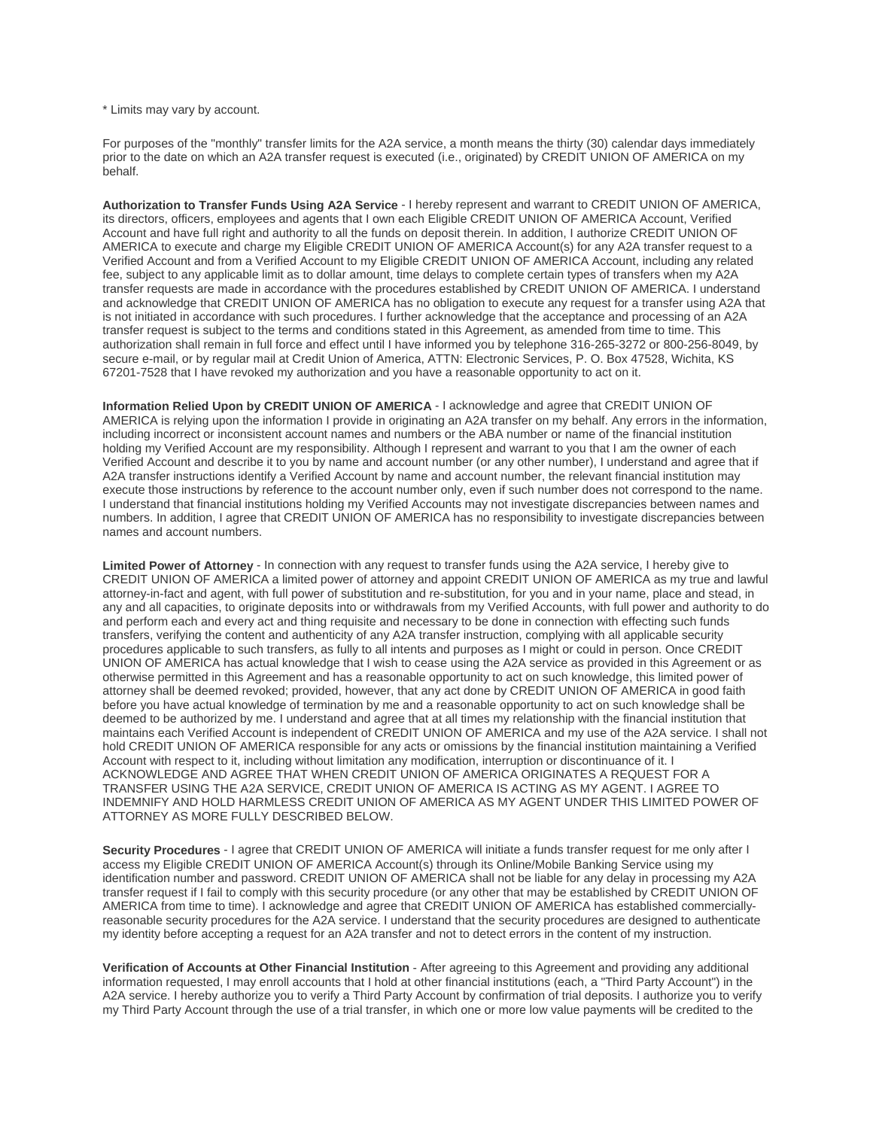\* Limits may vary by account.

For purposes of the "monthly" transfer limits for the A2A service, a month means the thirty (30) calendar days immediately prior to the date on which an A2A transfer request is executed (i.e., originated) by CREDIT UNION OF AMERICA on my behalf.

**Authorization to Transfer Funds Using A2A Service** - I hereby represent and warrant to CREDIT UNION OF AMERICA, its directors, officers, employees and agents that I own each Eligible CREDIT UNION OF AMERICA Account, Verified Account and have full right and authority to all the funds on deposit therein. In addition, I authorize CREDIT UNION OF AMERICA to execute and charge my Eligible CREDIT UNION OF AMERICA Account(s) for any A2A transfer request to a Verified Account and from a Verified Account to my Eligible CREDIT UNION OF AMERICA Account, including any related fee, subject to any applicable limit as to dollar amount, time delays to complete certain types of transfers when my A2A transfer requests are made in accordance with the procedures established by CREDIT UNION OF AMERICA. I understand and acknowledge that CREDIT UNION OF AMERICA has no obligation to execute any request for a transfer using A2A that is not initiated in accordance with such procedures. I further acknowledge that the acceptance and processing of an A2A transfer request is subject to the terms and conditions stated in this Agreement, as amended from time to time. This authorization shall remain in full force and effect until I have informed you by telephone 316-265-3272 or 800-256-8049, by secure e-mail, or by regular mail at Credit Union of America, ATTN: Electronic Services, P. O. Box 47528, Wichita, KS 67201-7528 that I have revoked my authorization and you have a reasonable opportunity to act on it.

**Information Relied Upon by CREDIT UNION OF AMERICA** - I acknowledge and agree that CREDIT UNION OF AMERICA is relying upon the information I provide in originating an A2A transfer on my behalf. Any errors in the information, including incorrect or inconsistent account names and numbers or the ABA number or name of the financial institution holding my Verified Account are my responsibility. Although I represent and warrant to you that I am the owner of each Verified Account and describe it to you by name and account number (or any other number), I understand and agree that if A2A transfer instructions identify a Verified Account by name and account number, the relevant financial institution may execute those instructions by reference to the account number only, even if such number does not correspond to the name. I understand that financial institutions holding my Verified Accounts may not investigate discrepancies between names and numbers. In addition, I agree that CREDIT UNION OF AMERICA has no responsibility to investigate discrepancies between names and account numbers.

 ACKNOWLEDGE AND AGREE THAT WHEN CREDIT UNION OF AMERICA ORIGINATES A REQUEST FOR A ATTORNEY AS MORE FULLY DESCRIBED BELOW. **Limited Power of Attorney** - In connection with any request to transfer funds using the A2A service, I hereby give to CREDIT UNION OF AMERICA a limited power of attorney and appoint CREDIT UNION OF AMERICA as my true and lawful attorney-in-fact and agent, with full power of substitution and re-substitution, for you and in your name, place and stead, in any and all capacities, to originate deposits into or withdrawals from my Verified Accounts, with full power and authority to do and perform each and every act and thing requisite and necessary to be done in connection with effecting such funds transfers, verifying the content and authenticity of any A2A transfer instruction, complying with all applicable security procedures applicable to such transfers, as fully to all intents and purposes as I might or could in person. Once CREDIT UNION OF AMERICA has actual knowledge that I wish to cease using the A2A service as provided in this Agreement or as otherwise permitted in this Agreement and has a reasonable opportunity to act on such knowledge, this limited power of attorney shall be deemed revoked; provided, however, that any act done by CREDIT UNION OF AMERICA in good faith before you have actual knowledge of termination by me and a reasonable opportunity to act on such knowledge shall be deemed to be authorized by me. I understand and agree that at all times my relationship with the financial institution that maintains each Verified Account is independent of CREDIT UNION OF AMERICA and my use of the A2A service. I shall not hold CREDIT UNION OF AMERICA responsible for any acts or omissions by the financial institution maintaining a Verified Account with respect to it, including without limitation any modification, interruption or discontinuance of it. I TRANSFER USING THE A2A SERVICE, CREDIT UNION OF AMERICA IS ACTING AS MY AGENT. I AGREE TO INDEMNIFY AND HOLD HARMLESS CREDIT UNION OF AMERICA AS MY AGENT UNDER THIS LIMITED POWER OF

**Security Procedures** - I agree that CREDIT UNION OF AMERICA will initiate a funds transfer request for me only after I access my Eligible CREDIT UNION OF AMERICA Account(s) through its Online/Mobile Banking Service using my identification number and password. CREDIT UNION OF AMERICA shall not be liable for any delay in processing my A2A transfer request if I fail to comply with this security procedure (or any other that may be established by CREDIT UNION OF AMERICA from time to time). I acknowledge and agree that CREDIT UNION OF AMERICA has established commerciallyreasonable security procedures for the A2A service. I understand that the security procedures are designed to authenticate my identity before accepting a request for an A2A transfer and not to detect errors in the content of my instruction.

**Verification of Accounts at Other Financial Institution** - After agreeing to this Agreement and providing any additional information requested, I may enroll accounts that I hold at other financial institutions (each, a "Third Party Account") in the A2A service. I hereby authorize you to verify a Third Party Account by confirmation of trial deposits. I authorize you to verify my Third Party Account through the use of a trial transfer, in which one or more low value payments will be credited to the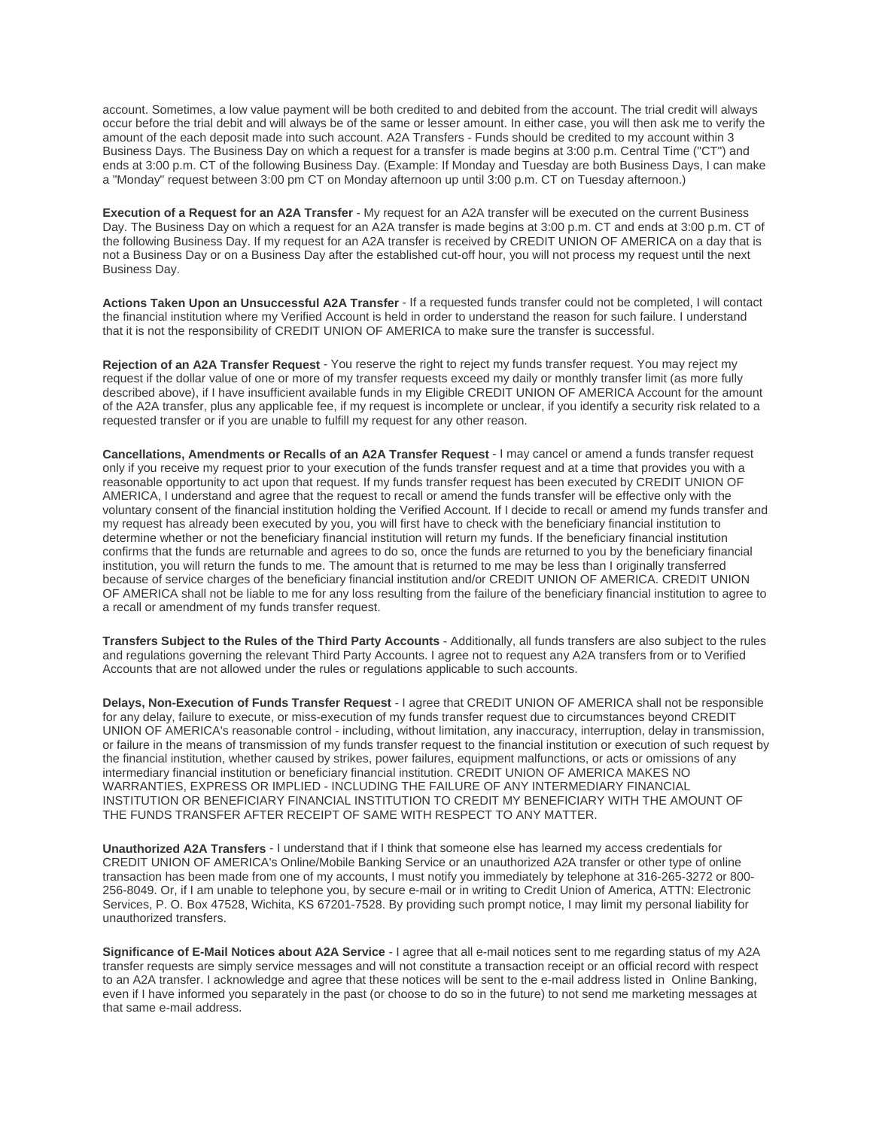account. Sometimes, a low value payment will be both credited to and debited from the account. The trial credit will always occur before the trial debit and will always be of the same or lesser amount. In either case, you will then ask me to verify the amount of the each deposit made into such account. A2A Transfers - Funds should be credited to my account within 3 Business Days. The Business Day on which a request for a transfer is made begins at 3:00 p.m. Central Time ("CT") and ends at 3:00 p.m. CT of the following Business Day. (Example: If Monday and Tuesday are both Business Days, I can make a "Monday" request between 3:00 pm CT on Monday afternoon up until 3:00 p.m. CT on Tuesday afternoon.)

 Business Day. **Execution of a Request for an A2A Transfer** - My request for an A2A transfer will be executed on the current Business Day. The Business Day on which a request for an A2A transfer is made begins at 3:00 p.m. CT and ends at 3:00 p.m. CT of the following Business Day. If my request for an A2A transfer is received by CREDIT UNION OF AMERICA on a day that is not a Business Day or on a Business Day after the established cut-off hour, you will not process my request until the next

**Actions Taken Upon an Unsuccessful A2A Transfer** - If a requested funds transfer could not be completed, I will contact the financial institution where my Verified Account is held in order to understand the reason for such failure. I understand that it is not the responsibility of CREDIT UNION OF AMERICA to make sure the transfer is successful.

**Rejection of an A2A Transfer Request** - You reserve the right to reject my funds transfer request. You may reject my request if the dollar value of one or more of my transfer requests exceed my daily or monthly transfer limit (as more fully described above), if I have insufficient available funds in my Eligible CREDIT UNION OF AMERICA Account for the amount of the A2A transfer, plus any applicable fee, if my request is incomplete or unclear, if you identify a security risk related to a requested transfer or if you are unable to fulfill my request for any other reason.

**Cancellations, Amendments or Recalls of an A2A Transfer Request** - I may cancel or amend a funds transfer request only if you receive my request prior to your execution of the funds transfer request and at a time that provides you with a reasonable opportunity to act upon that request. If my funds transfer request has been executed by CREDIT UNION OF AMERICA, I understand and agree that the request to recall or amend the funds transfer will be effective only with the voluntary consent of the financial institution holding the Verified Account. If I decide to recall or amend my funds transfer and my request has already been executed by you, you will first have to check with the beneficiary financial institution to determine whether or not the beneficiary financial institution will return my funds. If the beneficiary financial institution confirms that the funds are returnable and agrees to do so, once the funds are returned to you by the beneficiary financial institution, you will return the funds to me. The amount that is returned to me may be less than I originally transferred because of service charges of the beneficiary financial institution and/or CREDIT UNION OF AMERICA. CREDIT UNION OF AMERICA shall not be liable to me for any loss resulting from the failure of the beneficiary financial institution to agree to a recall or amendment of my funds transfer request.

**Transfers Subject to the Rules of the Third Party Accounts** - Additionally, all funds transfers are also subject to the rules and regulations governing the relevant Third Party Accounts. I agree not to request any A2A transfers from or to Verified Accounts that are not allowed under the rules or regulations applicable to such accounts.

 THE FUNDS TRANSFER AFTER RECEIPT OF SAME WITH RESPECT TO ANY MATTER. **Delays, Non-Execution of Funds Transfer Request** - I agree that CREDIT UNION OF AMERICA shall not be responsible for any delay, failure to execute, or miss-execution of my funds transfer request due to circumstances beyond CREDIT UNION OF AMERICA's reasonable control - including, without limitation, any inaccuracy, interruption, delay in transmission, or failure in the means of transmission of my funds transfer request to the financial institution or execution of such request by the financial institution, whether caused by strikes, power failures, equipment malfunctions, or acts or omissions of any intermediary financial institution or beneficiary financial institution. CREDIT UNION OF AMERICA MAKES NO WARRANTIES, EXPRESS OR IMPLIED - INCLUDING THE FAILURE OF ANY INTERMEDIARY FINANCIAL INSTITUTION OR BENEFICIARY FINANCIAL INSTITUTION TO CREDIT MY BENEFICIARY WITH THE AMOUNT OF

**Unauthorized A2A Transfers** - I understand that if I think that someone else has learned my access credentials for CREDIT UNION OF AMERICA's Online/Mobile Banking Service or an unauthorized A2A transfer or other type of online transaction has been made from one of my accounts, I must notify you immediately by telephone at 316-265-3272 or 800- 256-8049. Or, if I am unable to telephone you, by secure e-mail or in writing to Credit Union of America, ATTN: Electronic Services, P. O. Box 47528, Wichita, KS 67201-7528. By providing such prompt notice, I may limit my personal liability for unauthorized transfers.

**Significance of E-Mail Notices about A2A Service** - I agree that all e-mail notices sent to me regarding status of my A2A transfer requests are simply service messages and will not constitute a transaction receipt or an official record with respect to an A2A transfer. I acknowledge and agree that these notices will be sent to the e-mail address listed in Online Banking, even if I have informed you separately in the past (or choose to do so in the future) to not send me marketing messages at that same e-mail address.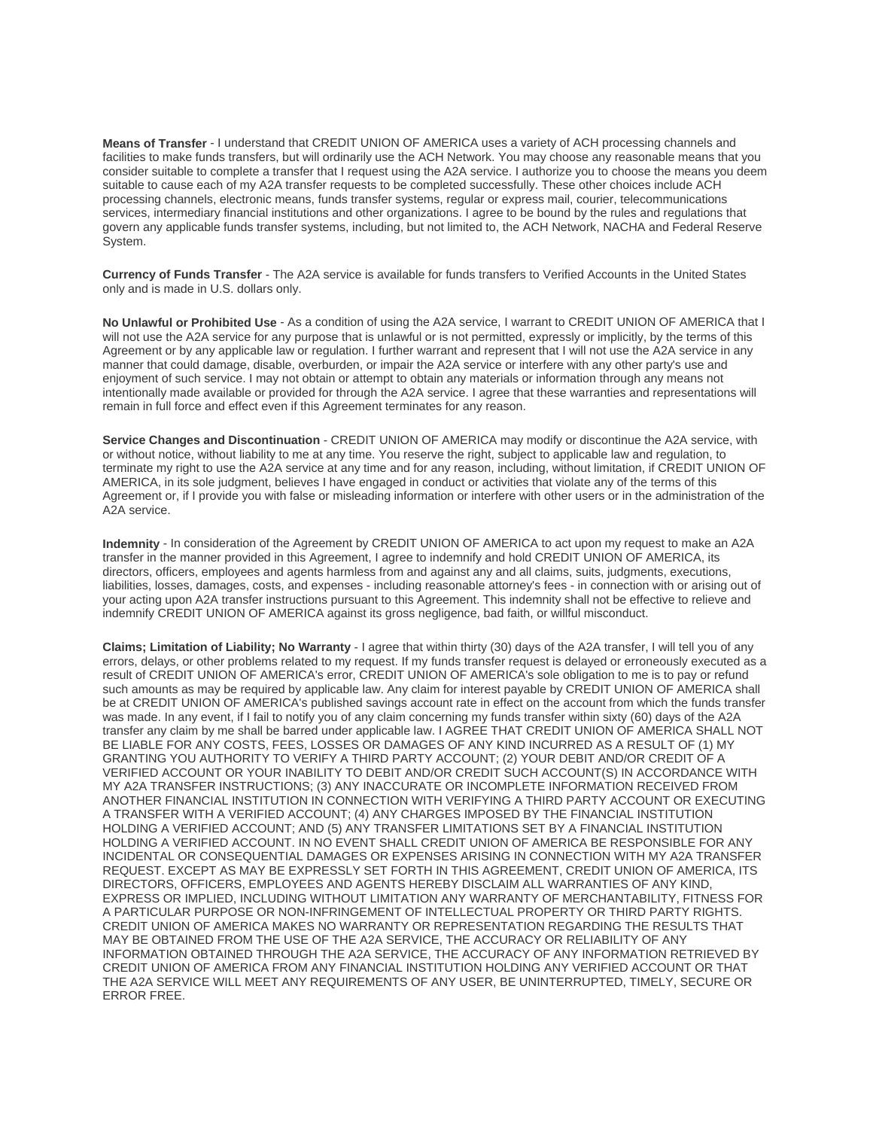System. **Means of Transfer** - I understand that CREDIT UNION OF AMERICA uses a variety of ACH processing channels and facilities to make funds transfers, but will ordinarily use the ACH Network. You may choose any reasonable means that you consider suitable to complete a transfer that I request using the A2A service. I authorize you to choose the means you deem suitable to cause each of my A2A transfer requests to be completed successfully. These other choices include ACH processing channels, electronic means, funds transfer systems, regular or express mail, courier, telecommunications services, intermediary financial institutions and other organizations. I agree to be bound by the rules and regulations that govern any applicable funds transfer systems, including, but not limited to, the ACH Network, NACHA and Federal Reserve

 only and is made in U.S. dollars only. **Currency of Funds Transfer** - The A2A service is available for funds transfers to Verified Accounts in the United States

**No Unlawful or Prohibited Use** - As a condition of using the A2A service, I warrant to CREDIT UNION OF AMERICA that I will not use the A2A service for any purpose that is unlawful or is not permitted, expressly or implicitly, by the terms of this Agreement or by any applicable law or regulation. I further warrant and represent that I will not use the A2A service in any manner that could damage, disable, overburden, or impair the A2A service or interfere with any other party's use and enjoyment of such service. I may not obtain or attempt to obtain any materials or information through any means not intentionally made available or provided for through the A2A service. I agree that these warranties and representations will remain in full force and effect even if this Agreement terminates for any reason.

 A2A service. **Service Changes and Discontinuation** - CREDIT UNION OF AMERICA may modify or discontinue the A2A service, with or without notice, without liability to me at any time. You reserve the right, subject to applicable law and regulation, to terminate my right to use the A2A service at any time and for any reason, including, without limitation, if CREDIT UNION OF AMERICA, in its sole judgment, believes I have engaged in conduct or activities that violate any of the terms of this Agreement or, if I provide you with false or misleading information or interfere with other users or in the administration of the

**Indemnity** - In consideration of the Agreement by CREDIT UNION OF AMERICA to act upon my request to make an A2A transfer in the manner provided in this Agreement, I agree to indemnify and hold CREDIT UNION OF AMERICA, its directors, officers, employees and agents harmless from and against any and all claims, suits, judgments, executions, liabilities, losses, damages, costs, and expenses - including reasonable attorney's fees - in connection with or arising out of your acting upon A2A transfer instructions pursuant to this Agreement. This indemnity shall not be effective to relieve and indemnify CREDIT UNION OF AMERICA against its gross negligence, bad faith, or willful misconduct.

 GRANTING YOU AUTHORITY TO VERIFY A THIRD PARTY ACCOUNT; (2) YOUR DEBIT AND/OR CREDIT OF A ANOTHER FINANCIAL INSTITUTION IN CONNECTION WITH VERIFYING A THIRD PARTY ACCOUNT OR EXECUTING CREDIT UNION OF AMERICA MAKES NO WARRANTY OR REPRESENTATION REGARDING THE RESULTS THAT CREDIT UNION OF AMERICA FROM ANY FINANCIAL INSTITUTION HOLDING ANY VERIFIED ACCOUNT OR THAT ERROR FREE. **Claims; Limitation of Liability; No Warranty** - I agree that within thirty (30) days of the A2A transfer, I will tell you of any errors, delays, or other problems related to my request. If my funds transfer request is delayed or erroneously executed as a result of CREDIT UNION OF AMERICA's error, CREDIT UNION OF AMERICA's sole obligation to me is to pay or refund such amounts as may be required by applicable law. Any claim for interest payable by CREDIT UNION OF AMERICA shall be at CREDIT UNION OF AMERICA's published savings account rate in effect on the account from which the funds transfer was made. In any event, if I fail to notify you of any claim concerning my funds transfer within sixty (60) days of the A2A transfer any claim by me shall be barred under applicable law. I AGREE THAT CREDIT UNION OF AMERICA SHALL NOT BE LIABLE FOR ANY COSTS, FEES, LOSSES OR DAMAGES OF ANY KIND INCURRED AS A RESULT OF (1) MY VERIFIED ACCOUNT OR YOUR INABILITY TO DEBIT AND/OR CREDIT SUCH ACCOUNT(S) IN ACCORDANCE WITH MY A2A TRANSFER INSTRUCTIONS; (3) ANY INACCURATE OR INCOMPLETE INFORMATION RECEIVED FROM A TRANSFER WITH A VERIFIED ACCOUNT; (4) ANY CHARGES IMPOSED BY THE FINANCIAL INSTITUTION HOLDING A VERIFIED ACCOUNT; AND (5) ANY TRANSFER LIMITATIONS SET BY A FINANCIAL INSTITUTION HOLDING A VERIFIED ACCOUNT. IN NO EVENT SHALL CREDIT UNION OF AMERICA BE RESPONSIBLE FOR ANY INCIDENTAL OR CONSEQUENTIAL DAMAGES OR EXPENSES ARISING IN CONNECTION WITH MY A2A TRANSFER REQUEST. EXCEPT AS MAY BE EXPRESSLY SET FORTH IN THIS AGREEMENT, CREDIT UNION OF AMERICA, ITS DIRECTORS, OFFICERS, EMPLOYEES AND AGENTS HEREBY DISCLAIM ALL WARRANTIES OF ANY KIND, EXPRESS OR IMPLIED, INCLUDING WITHOUT LIMITATION ANY WARRANTY OF MERCHANTABILITY, FITNESS FOR A PARTICULAR PURPOSE OR NON-INFRINGEMENT OF INTELLECTUAL PROPERTY OR THIRD PARTY RIGHTS. MAY BE OBTAINED FROM THE USE OF THE A2A SERVICE, THE ACCURACY OR RELIABILITY OF ANY INFORMATION OBTAINED THROUGH THE A2A SERVICE, THE ACCURACY OF ANY INFORMATION RETRIEVED BY THE A2A SERVICE WILL MEET ANY REQUIREMENTS OF ANY USER, BE UNINTERRUPTED, TIMELY, SECURE OR